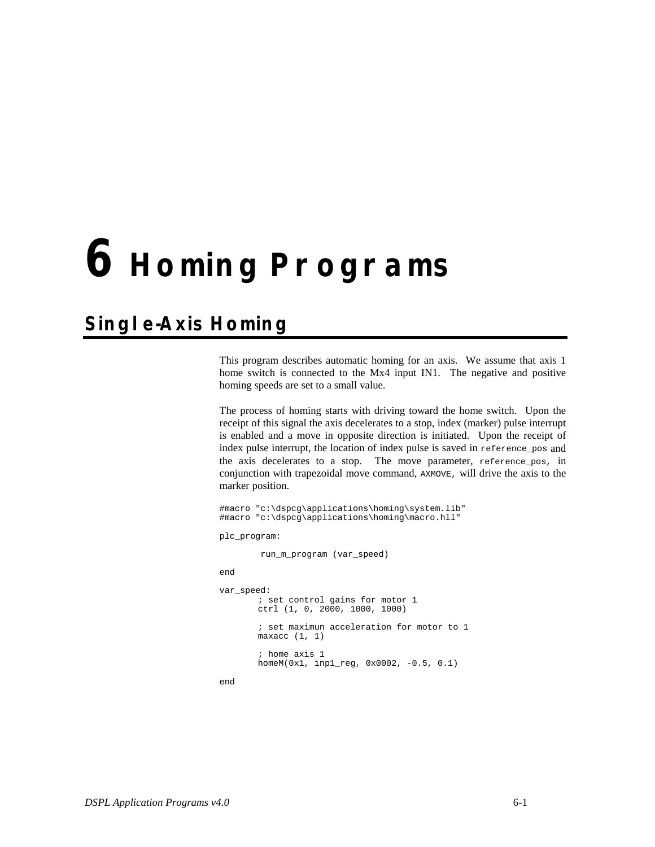## **6 Homing Programs**

## **Single-Axis Homing**

This program describes automatic homing for an axis. We assume that axis 1 home switch is connected to the Mx4 input IN1. The negative and positive homing speeds are set to a small value.

The process of homing starts with driving toward the home switch. Upon the receipt of this signal the axis decelerates to a stop, index (marker) pulse interrupt is enabled and a move in opposite direction is initiated. Upon the receipt of index pulse interrupt, the location of index pulse is saved in reference\_pos and the axis decelerates to a stop. The move parameter, reference\_pos, in conjunction with trapezoidal move command, AXMOVE, will drive the axis to the marker position.

```
#macro "c:\dspcg\applications\homing\system.lib"
#macro "c:\dspcg\applications\homing\macro.hll"
plc_program:
         run_m_program (var_speed)
end
var_speed:
       ; set control gains for motor 1
       ctrl (1, 0, 2000, 1000, 1000)
       ; set maximun acceleration for motor to 1
       maxacc (1, 1); home axis 1
       homeM(0x1, inp1_reg, 0x0002, -0.5, 0.1)
```
end